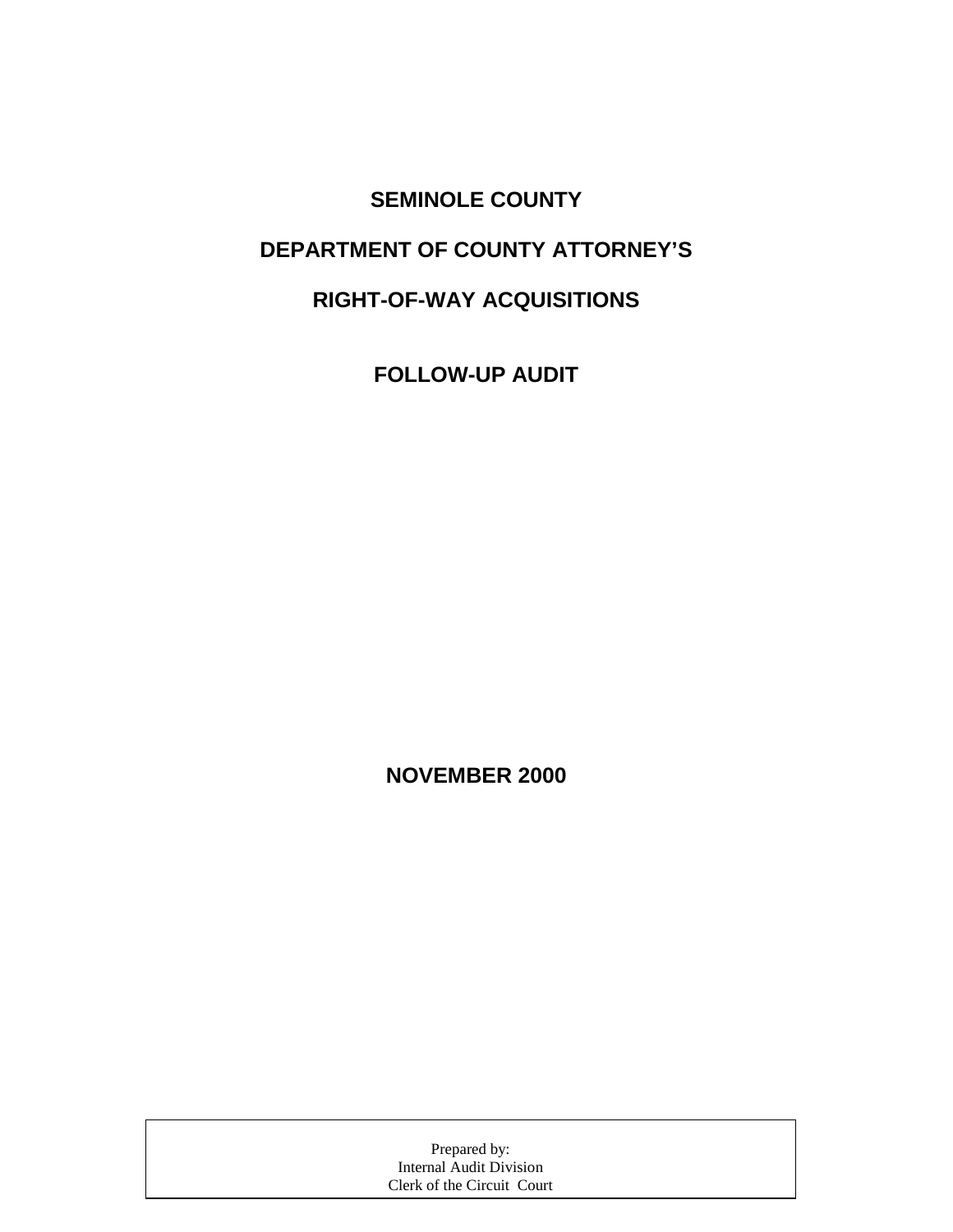**SEMINOLE COUNTY DEPARTMENT OF COUNTY ATTORNEY'S RIGHT-OF-WAY ACQUISITIONS** 

**FOLLOW-UP AUDIT** 

**NOVEMBER 2000** 

| Prepared by:               |  |
|----------------------------|--|
| Internal Audit Division    |  |
| Clerk of the Circuit Court |  |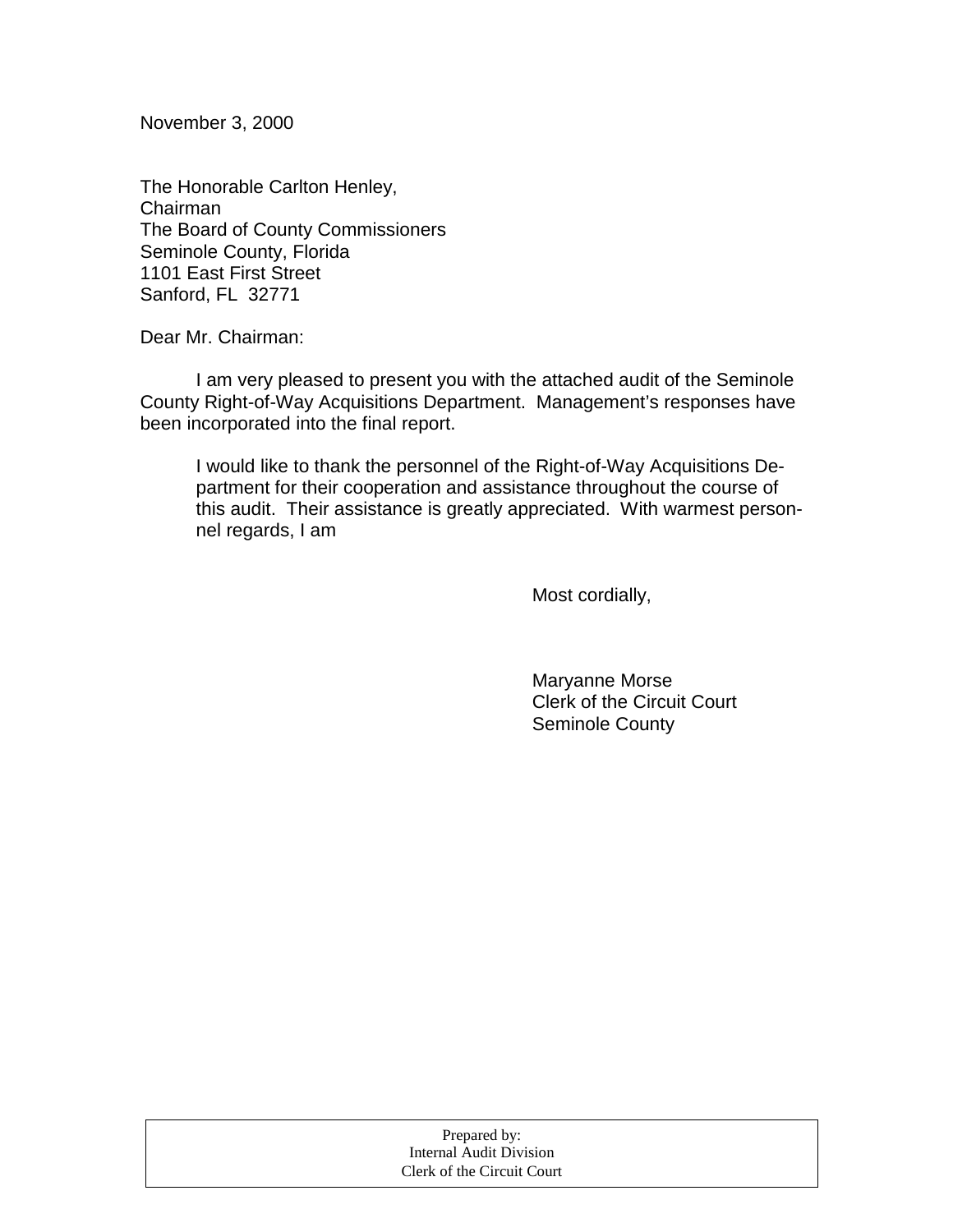November 3, 2000

The Honorable Carlton Henley, Chairman The Board of County Commissioners Seminole County, Florida 1101 East First Street Sanford, FL 32771

Dear Mr. Chairman:

 I am very pleased to present you with the attached audit of the Seminole County Right-of-Way Acquisitions Department. Management's responses have been incorporated into the final report.

I would like to thank the personnel of the Right-of-Way Acquisitions Department for their cooperation and assistance throughout the course of this audit. Their assistance is greatly appreciated. With warmest personnel regards, I am

Most cordially,

 Maryanne Morse Clerk of the Circuit Court Seminole County

| Prepared by:               |  |
|----------------------------|--|
| Internal Audit Division    |  |
| Clerk of the Circuit Court |  |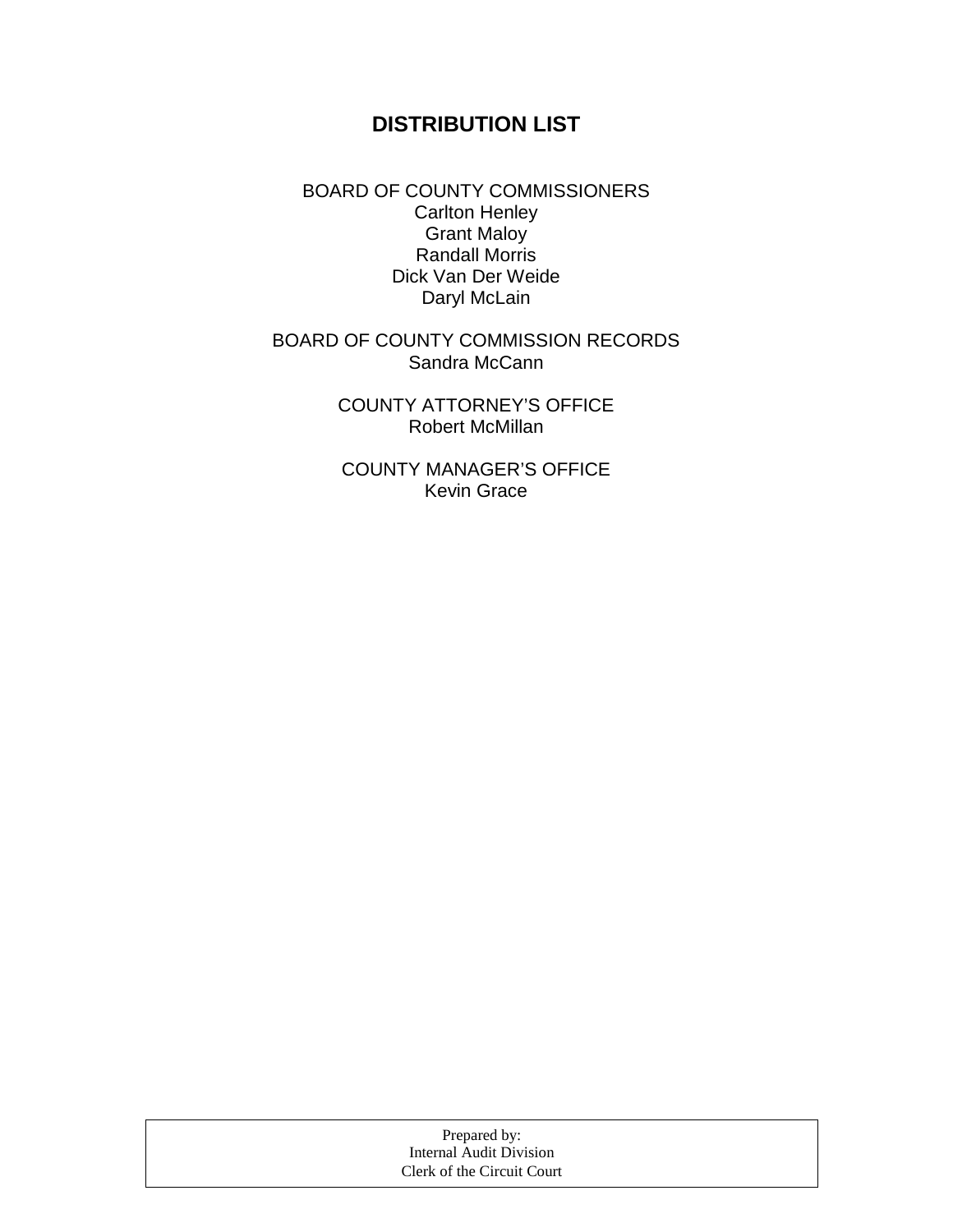# **DISTRIBUTION LIST**

BOARD OF COUNTY COMMISSIONERS Carlton Henley Grant Maloy Randall Morris Dick Van Der Weide Daryl McLain

BOARD OF COUNTY COMMISSION RECORDS Sandra McCann

> COUNTY ATTORNEY'S OFFICE Robert McMillan

COUNTY MANAGER'S OFFICE Kevin Grace

| Prepared by:               |  |
|----------------------------|--|
| Internal Audit Division    |  |
| Clerk of the Circuit Court |  |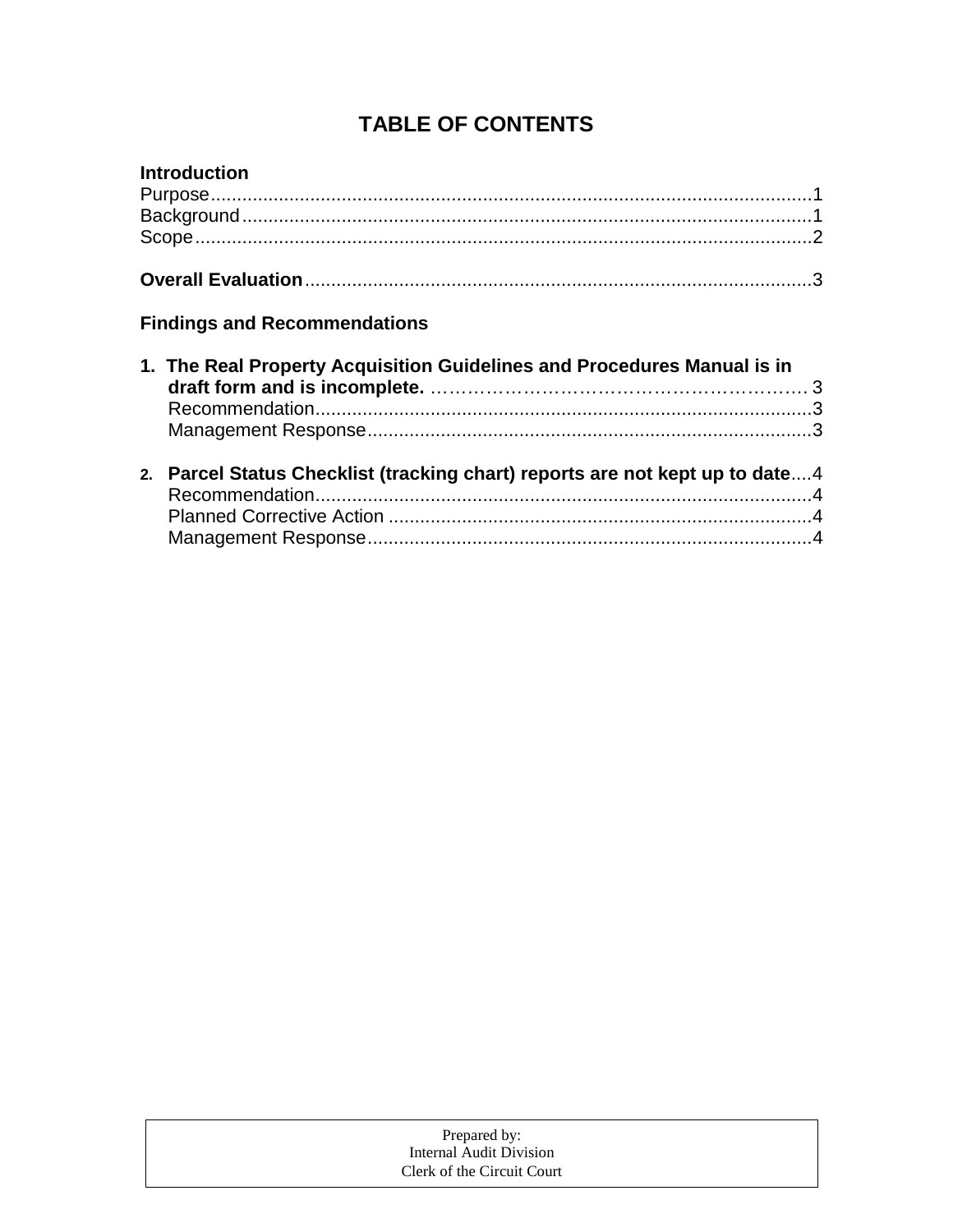# **TABLE OF CONTENTS**

| <b>Introduction</b>                                                          |  |
|------------------------------------------------------------------------------|--|
|                                                                              |  |
|                                                                              |  |
|                                                                              |  |
|                                                                              |  |
| <b>Findings and Recommendations</b>                                          |  |
| 1. The Real Property Acquisition Guidelines and Procedures Manual is in      |  |
|                                                                              |  |
|                                                                              |  |
| 2. Parcel Status Checklist (tracking chart) reports are not kept up to date4 |  |
|                                                                              |  |
|                                                                              |  |
|                                                                              |  |

| Prepared by:               |  |
|----------------------------|--|
| Internal Audit Division    |  |
| Clerk of the Circuit Court |  |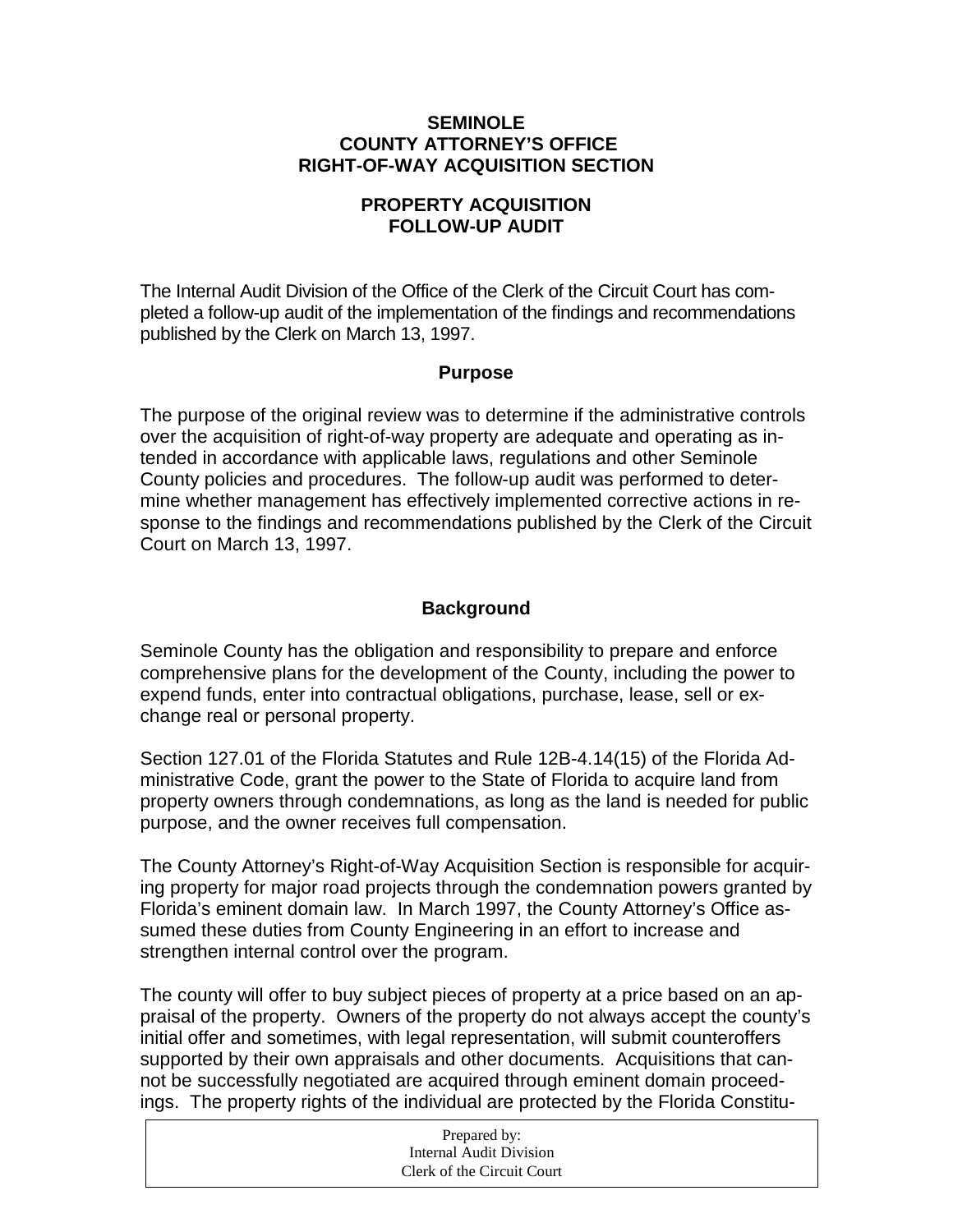### **SEMINOLE COUNTY ATTORNEY'S OFFICE RIGHT-OF-WAY ACQUISITION SECTION**

### **PROPERTY ACQUISITION FOLLOW-UP AUDIT**

The Internal Audit Division of the Office of the Clerk of the Circuit Court has completed a follow-up audit of the implementation of the findings and recommendations published by the Clerk on March 13, 1997.

### **Purpose**

The purpose of the original review was to determine if the administrative controls over the acquisition of right-of-way property are adequate and operating as intended in accordance with applicable laws, regulations and other Seminole County policies and procedures. The follow-up audit was performed to determine whether management has effectively implemented corrective actions in response to the findings and recommendations published by the Clerk of the Circuit Court on March 13, 1997.

## **Background**

Seminole County has the obligation and responsibility to prepare and enforce comprehensive plans for the development of the County, including the power to expend funds, enter into contractual obligations, purchase, lease, sell or exchange real or personal property.

Section 127.01 of the Florida Statutes and Rule 12B-4.14(15) of the Florida Administrative Code, grant the power to the State of Florida to acquire land from property owners through condemnations, as long as the land is needed for public purpose, and the owner receives full compensation.

The County Attorney's Right-of-Way Acquisition Section is responsible for acquiring property for major road projects through the condemnation powers granted by Florida's eminent domain law. In March 1997, the County Attorney's Office assumed these duties from County Engineering in an effort to increase and strengthen internal control over the program.

The county will offer to buy subject pieces of property at a price based on an appraisal of the property. Owners of the property do not always accept the county's initial offer and sometimes, with legal representation, will submit counteroffers supported by their own appraisals and other documents. Acquisitions that cannot be successfully negotiated are acquired through eminent domain proceedings. The property rights of the individual are protected by the Florida Constitu-

| Prepared by:               |
|----------------------------|
| Internal Audit Division    |
| Clerk of the Circuit Court |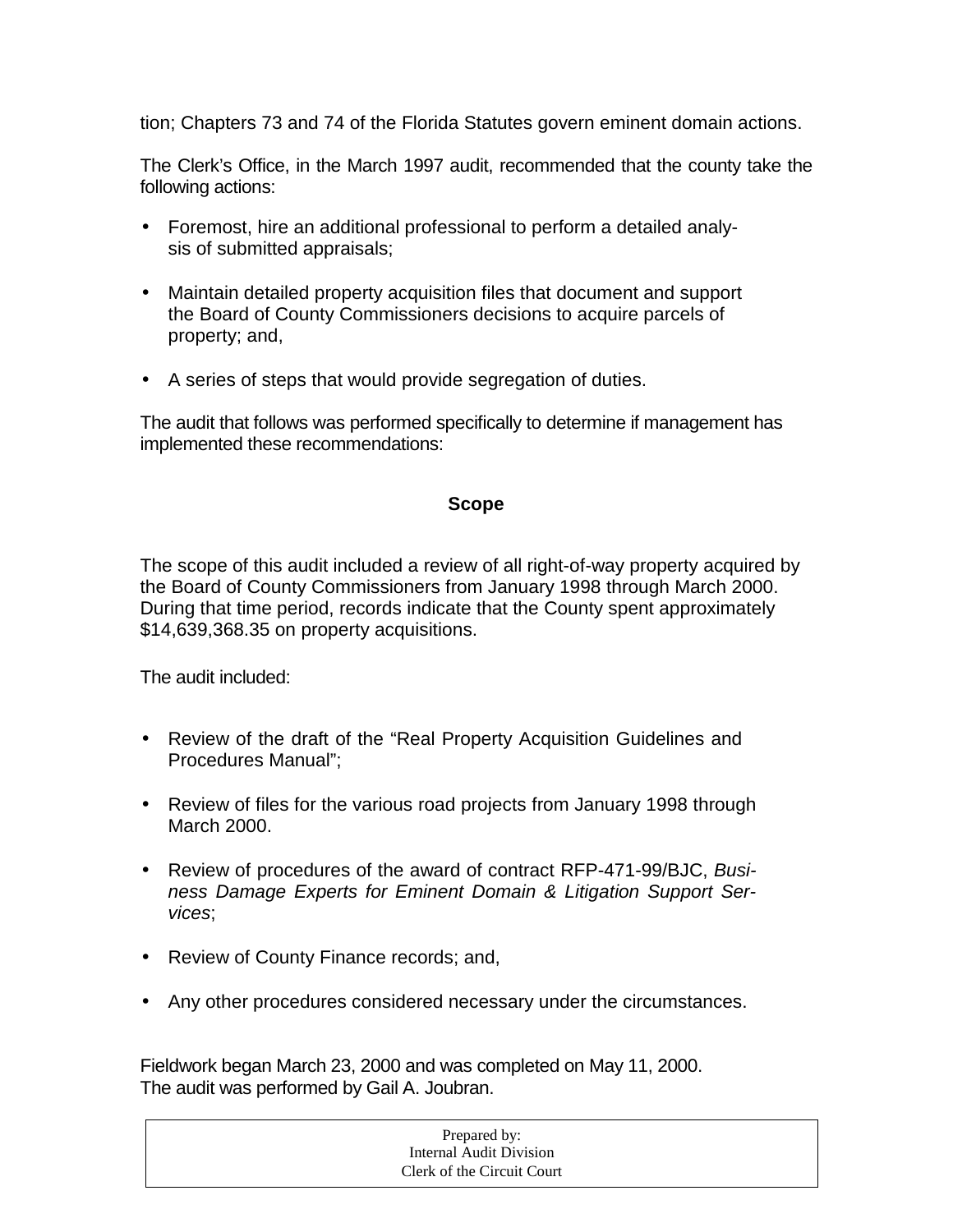tion; Chapters 73 and 74 of the Florida Statutes govern eminent domain actions.

The Clerk's Office, in the March 1997 audit, recommended that the county take the following actions:

- Foremost, hire an additional professional to perform a detailed analysis of submitted appraisals;
- Maintain detailed property acquisition files that document and support the Board of County Commissioners decisions to acquire parcels of property; and,
- A series of steps that would provide segregation of duties.

The audit that follows was performed specifically to determine if management has implemented these recommendations:

### **Scope**

The scope of this audit included a review of all right-of-way property acquired by the Board of County Commissioners from January 1998 through March 2000. During that time period, records indicate that the County spent approximately \$14,639,368.35 on property acquisitions.

The audit included:

- Review of the draft of the "Real Property Acquisition Guidelines and Procedures Manual";
- Review of files for the various road projects from January 1998 through March 2000.
- Review of procedures of the award of contract RFP-471-99/BJC, *Business Damage Experts for Eminent Domain & Litigation Support Services*;
- Review of County Finance records; and,
- Any other procedures considered necessary under the circumstances.

Fieldwork began March 23, 2000 and was completed on May 11, 2000. The audit was performed by Gail A. Joubran.

| Prepared by:               |  |
|----------------------------|--|
| Internal Audit Division    |  |
| Clerk of the Circuit Court |  |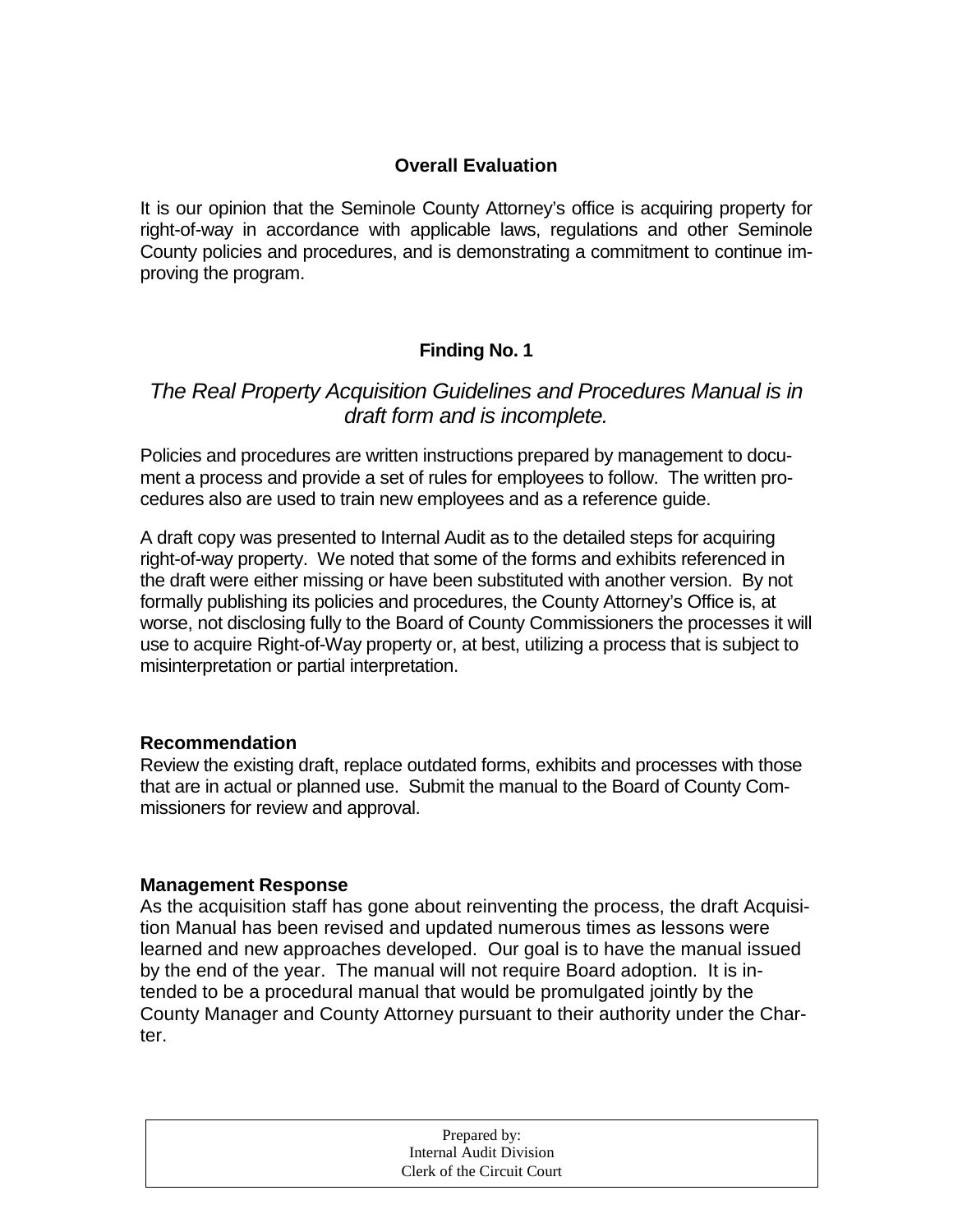### **Overall Evaluation**

It is our opinion that the Seminole County Attorney's office is acquiring property for right-of-way in accordance with applicable laws, regulations and other Seminole County policies and procedures, and is demonstrating a commitment to continue improving the program.

## **Finding No. 1**

## *The Real Property Acquisition Guidelines and Procedures Manual is in draft form and is incomplete.*

Policies and procedures are written instructions prepared by management to document a process and provide a set of rules for employees to follow. The written procedures also are used to train new employees and as a reference guide.

A draft copy was presented to Internal Audit as to the detailed steps for acquiring right-of-way property. We noted that some of the forms and exhibits referenced in the draft were either missing or have been substituted with another version. By not formally publishing its policies and procedures, the County Attorney's Office is, at worse, not disclosing fully to the Board of County Commissioners the processes it will use to acquire Right-of-Way property or, at best, utilizing a process that is subject to misinterpretation or partial interpretation.

### **Recommendation**

Review the existing draft, replace outdated forms, exhibits and processes with those that are in actual or planned use. Submit the manual to the Board of County Commissioners for review and approval.

### **Management Response**

As the acquisition staff has gone about reinventing the process, the draft Acquisition Manual has been revised and updated numerous times as lessons were learned and new approaches developed. Our goal is to have the manual issued by the end of the year. The manual will not require Board adoption. It is intended to be a procedural manual that would be promulgated jointly by the County Manager and County Attorney pursuant to their authority under the Charter.

| Internal Audit Division    |              |
|----------------------------|--------------|
| Clerk of the Circuit Court |              |
|                            | Prepared by: |